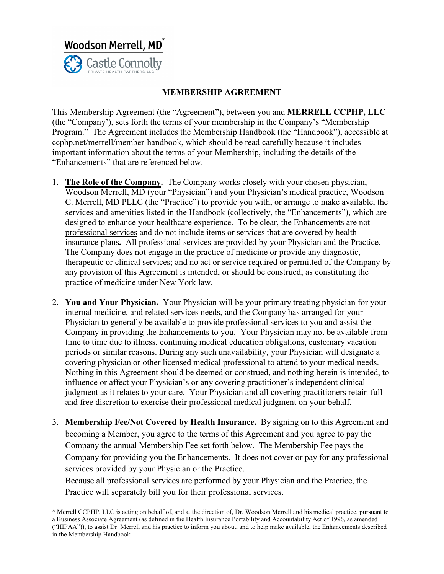

## **MEMBERSHIP AGREEMENT**

This Membership Agreement (the "Agreement"), between you and **MERRELL CCPHP, LLC** (the "Company'), sets forth the terms of your membership in the Company's "Membership Program." The Agreement includes the Membership Handbook (the "Handbook"), accessible at ccphp.net/merrell/member-handbook, which should be read carefully because it includes important information about the terms of your Membership, including the details of the "Enhancements" that are referenced below.

- 1. **The Role of the Company.** The Company works closely with your chosen physician, Woodson Merrell, MD (your "Physician") and your Physician's medical practice, Woodson C. Merrell, MD PLLC (the "Practice") to provide you with, or arrange to make available, the services and amenities listed in the Handbook (collectively, the "Enhancements"), which are designed to enhance your healthcare experience. To be clear, the Enhancements are not professional services and do not include items or services that are covered by health insurance plans**.** All professional services are provided by your Physician and the Practice. The Company does not engage in the practice of medicine or provide any diagnostic, therapeutic or clinical services; and no act or service required or permitted of the Company by any provision of this Agreement is intended, or should be construed, as constituting the practice of medicine under New York law.
- 2. **You and Your Physician.** Your Physician will be your primary treating physician for your internal medicine, and related services needs, and the Company has arranged for your Physician to generally be available to provide professional services to you and assist the Company in providing the Enhancements to you. Your Physician may not be available from time to time due to illness, continuing medical education obligations, customary vacation periods or similar reasons. During any such unavailability, your Physician will designate a covering physician or other licensed medical professional to attend to your medical needs. Nothing in this Agreement should be deemed or construed, and nothing herein is intended, to influence or affect your Physician's or any covering practitioner's independent clinical judgment as it relates to your care. Your Physician and all covering practitioners retain full and free discretion to exercise their professional medical judgment on your behalf.
- 3. **Membership Fee/Not Covered by Health Insurance.** By signing on to this Agreement and becoming a Member, you agree to the terms of this Agreement and you agree to pay the Company the annual Membership Fee set forth below. The Membership Fee pays the Company for providing you the Enhancements. It does not cover or pay for any professional services provided by your Physician or the Practice.

Because all professional services are performed by your Physician and the Practice, the Practice will separately bill you for their professional services.

<sup>\*</sup> Merrell CCPHP, LLC is acting on behalf of, and at the direction of, Dr. Woodson Merrell and his medical practice, pursuant to a Business Associate Agreement (as defined in the Health Insurance Portability and Accountability Act of 1996, as amended ("HIPAA")), to assist Dr. Merrell and his practice to inform you about, and to help make available, the Enhancements described in the Membership Handbook.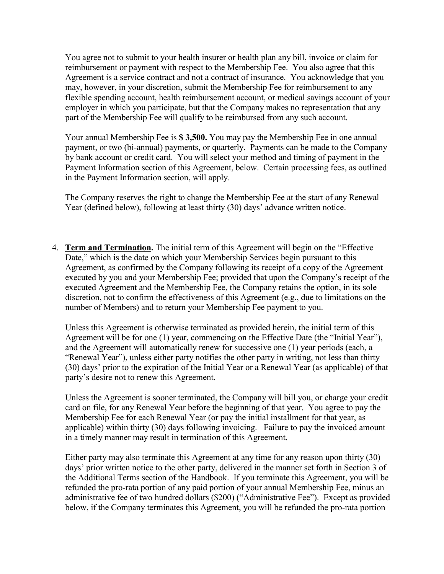You agree not to submit to your health insurer or health plan any bill, invoice or claim for reimbursement or payment with respect to the Membership Fee. You also agree that this Agreement is a service contract and not a contract of insurance. You acknowledge that you may, however, in your discretion, submit the Membership Fee for reimbursement to any flexible spending account, health reimbursement account, or medical savings account of your employer in which you participate, but that the Company makes no representation that any part of the Membership Fee will qualify to be reimbursed from any such account.

Your annual Membership Fee is **\$ 3,500.** You may pay the Membership Fee in one annual payment, or two (bi-annual) payments, or quarterly. Payments can be made to the Company by bank account or credit card. You will select your method and timing of payment in the Payment Information section of this Agreement, below. Certain processing fees, as outlined in the Payment Information section, will apply.

The Company reserves the right to change the Membership Fee at the start of any Renewal Year (defined below), following at least thirty (30) days' advance written notice.

4. **Term and Termination.** The initial term of this Agreement will begin on the "Effective Date," which is the date on which your Membership Services begin pursuant to this Agreement, as confirmed by the Company following its receipt of a copy of the Agreement executed by you and your Membership Fee; provided that upon the Company's receipt of the executed Agreement and the Membership Fee, the Company retains the option, in its sole discretion, not to confirm the effectiveness of this Agreement (e.g., due to limitations on the number of Members) and to return your Membership Fee payment to you.

Unless this Agreement is otherwise terminated as provided herein, the initial term of this Agreement will be for one (1) year, commencing on the Effective Date (the "Initial Year"), and the Agreement will automatically renew for successive one (1) year periods (each, a "Renewal Year"), unless either party notifies the other party in writing, not less than thirty (30) days' prior to the expiration of the Initial Year or a Renewal Year (as applicable) of that party's desire not to renew this Agreement.

Unless the Agreement is sooner terminated, the Company will bill you, or charge your credit card on file, for any Renewal Year before the beginning of that year. You agree to pay the Membership Fee for each Renewal Year (or pay the initial installment for that year, as applicable) within thirty (30) days following invoicing. Failure to pay the invoiced amount in a timely manner may result in termination of this Agreement.

Either party may also terminate this Agreement at any time for any reason upon thirty (30) days' prior written notice to the other party, delivered in the manner set forth in Section 3 of the Additional Terms section of the Handbook. If you terminate this Agreement, you will be refunded the pro-rata portion of any paid portion of your annual Membership Fee, minus an administrative fee of two hundred dollars (\$200) ("Administrative Fee"). Except as provided below, if the Company terminates this Agreement, you will be refunded the pro-rata portion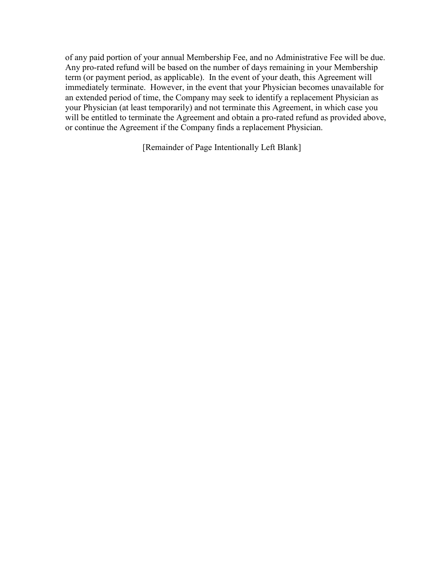of any paid portion of your annual Membership Fee, and no Administrative Fee will be due. Any pro-rated refund will be based on the number of days remaining in your Membership term (or payment period, as applicable). In the event of your death, this Agreement will immediately terminate. However, in the event that your Physician becomes unavailable for an extended period of time, the Company may seek to identify a replacement Physician as your Physician (at least temporarily) and not terminate this Agreement, in which case you will be entitled to terminate the Agreement and obtain a pro-rated refund as provided above, or continue the Agreement if the Company finds a replacement Physician.

[Remainder of Page Intentionally Left Blank]